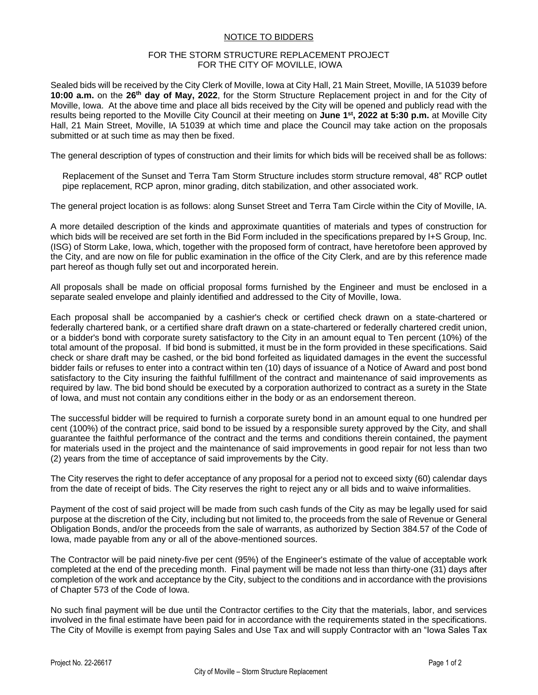## NOTICE TO BIDDERS

## FOR THE STORM STRUCTURE REPLACEMENT PROJECT FOR THE CITY OF MOVILLE, IOWA

Sealed bids will be received by the City Clerk of Moville, Iowa at City Hall, 21 Main Street, Moville, IA 51039 before **10:00 a.m.** on the **26th day of May, 2022**, for the Storm Structure Replacement project in and for the City of Moville, Iowa. At the above time and place all bids received by the City will be opened and publicly read with the results being reported to the Moville City Council at their meeting on **June 1st, 2022 at 5:30 p.m.** at Moville City Hall, 21 Main Street, Moville, IA 51039 at which time and place the Council may take action on the proposals submitted or at such time as may then be fixed.

The general description of types of construction and their limits for which bids will be received shall be as follows:

Replacement of the Sunset and Terra Tam Storm Structure includes storm structure removal, 48" RCP outlet pipe replacement, RCP apron, minor grading, ditch stabilization, and other associated work.

The general project location is as follows: along Sunset Street and Terra Tam Circle within the City of Moville, IA.

A more detailed description of the kinds and approximate quantities of materials and types of construction for which bids will be received are set forth in the Bid Form included in the specifications prepared by I+S Group, Inc. (ISG) of Storm Lake, Iowa, which, together with the proposed form of contract, have heretofore been approved by the City, and are now on file for public examination in the office of the City Clerk, and are by this reference made part hereof as though fully set out and incorporated herein.

All proposals shall be made on official proposal forms furnished by the Engineer and must be enclosed in a separate sealed envelope and plainly identified and addressed to the City of Moville, Iowa.

Each proposal shall be accompanied by a cashier's check or certified check drawn on a state-chartered or federally chartered bank, or a certified share draft drawn on a state-chartered or federally chartered credit union, or a bidder's bond with corporate surety satisfactory to the City in an amount equal to Ten percent (10%) of the total amount of the proposal. If bid bond is submitted, it must be in the form provided in these specifications. Said check or share draft may be cashed, or the bid bond forfeited as liquidated damages in the event the successful bidder fails or refuses to enter into a contract within ten (10) days of issuance of a Notice of Award and post bond satisfactory to the City insuring the faithful fulfillment of the contract and maintenance of said improvements as required by law. The bid bond should be executed by a corporation authorized to contract as a surety in the State of Iowa, and must not contain any conditions either in the body or as an endorsement thereon.

The successful bidder will be required to furnish a corporate surety bond in an amount equal to one hundred per cent (100%) of the contract price, said bond to be issued by a responsible surety approved by the City, and shall guarantee the faithful performance of the contract and the terms and conditions therein contained, the payment for materials used in the project and the maintenance of said improvements in good repair for not less than two (2) years from the time of acceptance of said improvements by the City.

The City reserves the right to defer acceptance of any proposal for a period not to exceed sixty (60) calendar days from the date of receipt of bids. The City reserves the right to reject any or all bids and to waive informalities.

Payment of the cost of said project will be made from such cash funds of the City as may be legally used for said purpose at the discretion of the City, including but not limited to, the proceeds from the sale of Revenue or General Obligation Bonds, and/or the proceeds from the sale of warrants, as authorized by Section 384.57 of the Code of Iowa, made payable from any or all of the above-mentioned sources.

The Contractor will be paid ninety-five per cent (95%) of the Engineer's estimate of the value of acceptable work completed at the end of the preceding month. Final payment will be made not less than thirty-one (31) days after completion of the work and acceptance by the City, subject to the conditions and in accordance with the provisions of Chapter 573 of the Code of Iowa.

No such final payment will be due until the Contractor certifies to the City that the materials, labor, and services involved in the final estimate have been paid for in accordance with the requirements stated in the specifications. The City of Moville is exempt from paying Sales and Use Tax and will supply Contractor with an "Iowa Sales Tax